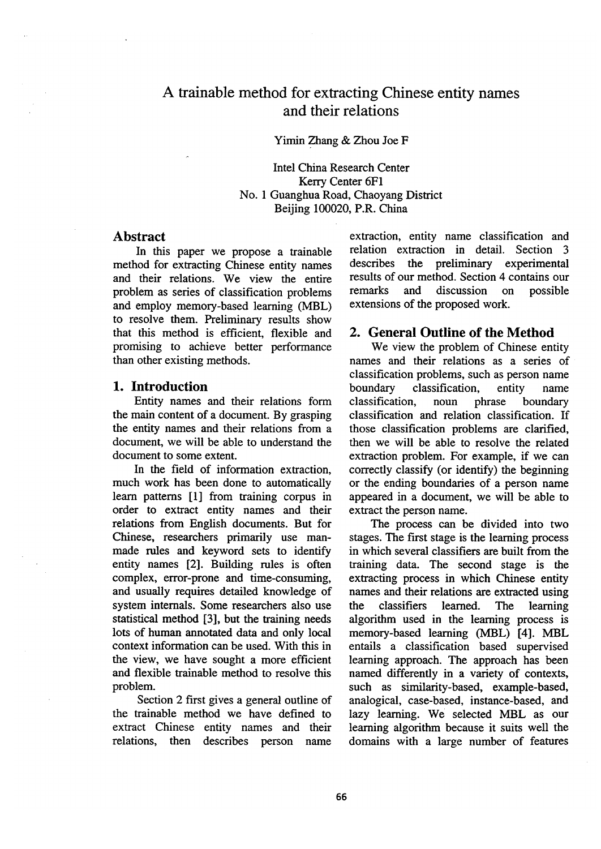# A trainable method for extracting Chinese entity names and their relations

Yimin Zhang & Zhou Joe F

Intel China Research Center Kerry Center 6F1 No. 1 Guanghua Road, Chaoyang District Beijing 100020, P.R. China

### **Abstract**

In this paper we propose a trainable method for extracting Chinese entity names and their relations. We view the entire problem as series of classification problems and employ memory-based learning (MBL) to resolve them. Preliminary results show that this method is efficient, flexible and promising to achieve better performance than other existing methods.

# **1. Introduction**

Entity names and their relations form the main content of a document. By grasping the entity names and their relations from a document, we will be able to understand the document to some extent.

In the field of information extraction, much work has been done to automatically learn patterns [1] from training corpus in order to extract entity names and their relations from English documents. But for Chinese, researchers primarily use manmade rules and keyword sets to identify entity names [2]. Building rules is often complex, error-prone and time-consuming, and usually requires detailed knowledge of system internals. Some researchers also use statistical method [3], but the training needs lots of human annotated data and only local context information can be used. With this in the view, we have sought a more efficient and flexible trainable method to resolve this problem.

Section 2 first gives a general outline of the trainable method we have defined to extract Chinese entity names and their relations, then describes person name extraction, entity name classification and relation extraction in detail. Section 3 describes the preliminary experimental results of our method. Section 4 contains our remarks and discussion on possible extensions of the proposed work.

## **2. General Outline of the Method**

We view the problem of Chinese entity names and their relations as a series of classification problems, such as person name boundary classification, entity name classification, noun phrase boundary classification and relation classification. If those classification problems are clarified, then we will be able to resolve the related extraction problem. For example, if we can correctly classify (or identify) the beginning or the ending boundaries of a person name appeared in a document, we will be able to extract the person name.

The process can be divided into two stages. The first stage is the learning process in which several classifiers are built from the training data. The second stage is the extracting process in which Chinese entity names and their relations are extracted using the classifiers learned. The learning algorithm used in the learning process is memory-based learning (MBL) [4]. MBL entails a classification based supervised learning approach. The approach has been named differently in a variety of contexts, such as similarity-based, example-based, analogical, case-based, instance-based, and lazy learning, we selected MBL as our learning algorithm because it suits well the domains with a large number of features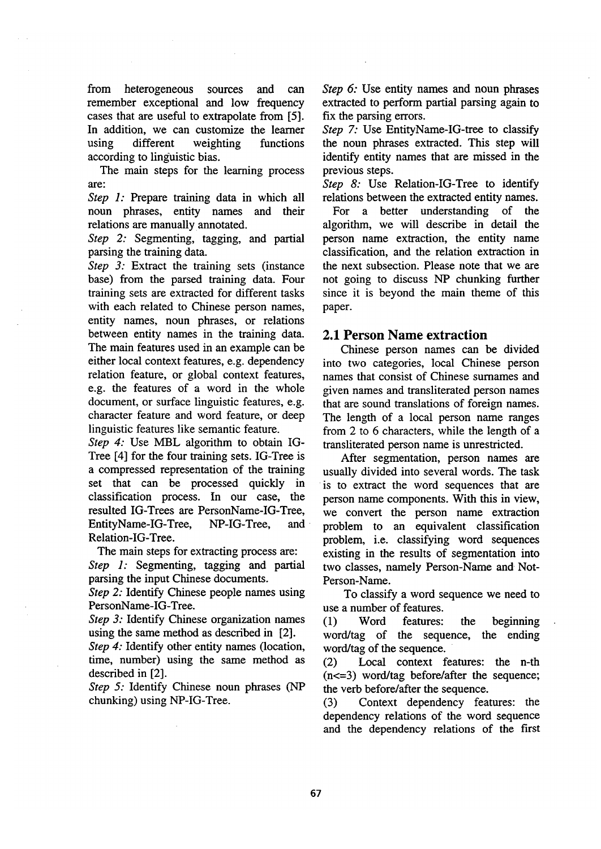from heterogeneous sources and can remember exceptional and low frequency cases that are useful to extrapolate from [5]. In addition, we can customize the learner using different weighting functions according to linguistic bias.

The main steps for the learning process **are:** 

*Step 1:* Prepare training data in which all noun phrases, entity names and their relations are manually annotated.

*Step 2:* Segmenting, tagging, and partial parsing the training data.

*Step 3:* Extract the training sets (instance base) from the parsed training data. Four training sets are extracted for different tasks with each related to Chinese person names, entity names, noun phrases, or relations between entity names in the training data. The main features used in an example can be either local context features, e.g. dependency relation feature, or global context features, e.g. the features of a word in the whole document, or surface linguistic features, e.g. character feature and word feature, or deep linguistic features like semantic feature.

*Step 4:* Use MBL algorithm to obtain IG-Tree [4] for the four training sets. IG-Tree is a compressed representation of the training set that can be processed quickly in classification process. In our case, the resulted IG-Trees are PersonName-IG-Tree, EntityName-IG-Tree, NP-IG-Tree, and Relation-IG-Tree.

The main steps for extracting process are:

*Step 1:* Segmenting, tagging and partial parsing the input Chinese documents.

*Step 2:* Identify Chinese people names using PersonName-IG-Tree.

*Step 3:* Identify Chinese organization names using the same method as described in [2].

*Step 4:* Identify other entity names (location, time, number) using the same method as described in [2].

*Step 5:* Identify Chinese noun phrases (NP chunking) using NP-IG-Tree.

*Step 6:* Use entity names and noun phrases extracted to perform partial parsing again to fix the parsing errors.

*Step 7:* Use EntityName-IG-tree to classify the noun phrases extracted. This step will identify entity names that are missed in the previous steps.

*Step 8:* Use Relation-IG-Tree to identify relations between the extracted entity names.

For a better understanding of **the**  algorithm, we will describe in detail the person name extraction, the entity name classification, and the relation extraction in the next subsection. Please note that we **are**  not going to discuss NP chunking further since it is beyond the main theme of this paper.

## **2.1 Person Name extraction**

Chinese person names can be divided into two categories, local Chinese person names that consist of Chinese surnames and given names and transliterated person names that are sound translations of foreign names. The length of a local person name ranges from 2 to 6 characters, while the length of a transliterated person name is unrestricted.

After segmentation, person names are usually divided into several words. The task is to extract the word sequences that **are**  person name components. With this in view, we convert the person name extraction problem to an equivalent classification problem, i.e. classifying word sequences existing in the results of segmentation into two classes, namely Person-Name and Not-Person-Name.

To classify a word sequence we need to use a number of features.

(1) Word features: the beginning word/tag of the sequence, the ending word/tag of the sequence.

(2) Local context features: the n-th (n<=3) word/tag before/after the sequence; the verb before/after the sequence.

(3) Context dependency features: the dependency relations of the word sequence and the dependency relations of the first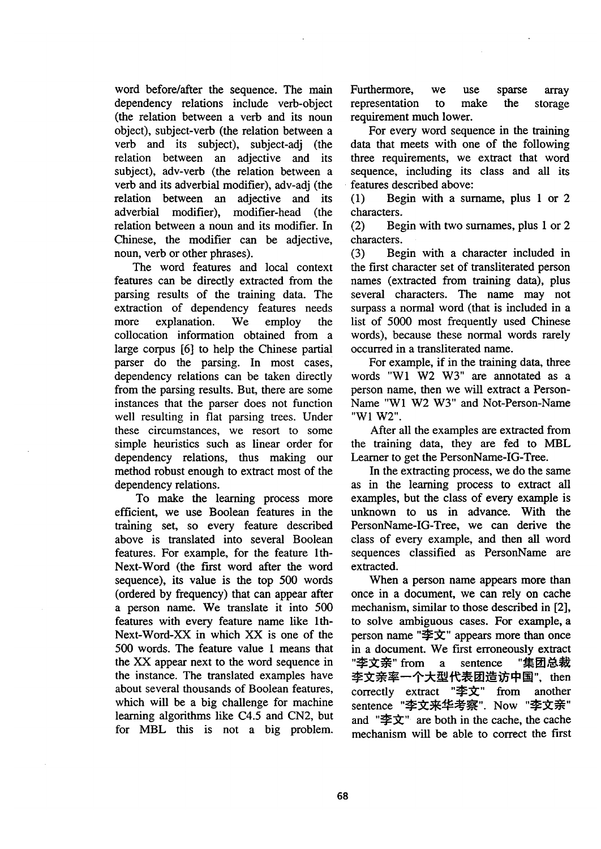word before/after the sequence. The main dependency relations include verb-object (the relation between a verb and its noun object), subject-verb (the relation between a verb and its subject), subject-adj (the relation between an adjective and its subject), adv-verb (the relation between a verb and its adverbial modifier), adv-adj (the relation between an adjective and its adverbial modifier), modifier-head (the relation between a noun and its modifier. In Chinese, the modifier can be adjective, noun, verb or other phrases).

The word features and local context features can be directly extracted from the parsing results of the training data. The extraction of dependency features needs more explanation. We employ the collocation information obtained from a large corpus [6] to help the Chinese partial parser do the parsing. In most cases, dependency relations can be taken directly from the parsing results. But, there are some instances that the parser does not function well resulting in flat parsing trees. Under these circumstances, we resort to some simple heuristics such as linear order for dependency relations, thus making our method robust enough to extract most of the dependency relations.

To make the learning process more efficient, we use Boolean features in the tralning set, so every feature described above is translated into several Boolean features. For example, for the feature lth-Next-Word (the first word after the word sequence), its value is the top 500 words (ordered by frequency) that can appear after a person name. We translate it into 500 features with every feature name like lth-Next-Word-XX in which XX is one of the 500 words. The feature value 1 means that the XX appear next to the word sequence in the instance. The translated examples have about several thousands of Boolean features, which will be a big challenge for machine learning algorithms like C4.5 and CN2, but for MBL this is not a big problem.

Furthermore, we use sparse array representation to make the storage requirement much lower.

For every word sequence in the training data that meets with one of the following three requirements, we extract that word sequence, including its class and all its features described above:

(1) Begin with a surnarne, plus 1 or 2 characters.

(2) Begin with two surnames, plus 1 or 2 characters.

(3) Begin with a character included in the first character set of transliterated person names (extracted from training data), plus several characters. The name may not surpass a normal word (that is included in a list of 5000 most frequently used Chinese words), because these normal words rarely occurred in a transliterated name.

For example, if in the training data, three words "W1 W2 W3" are annotated as a person name, then we will extract a Person-Name "Wl W2 W3" and Not-Person-Name "W1 W2".

After all the examples are extracted from the training data, they are fed to MBL Learner to get the PersonName-IG-Tree.

In the extracting process, we do the same as in the learning process to extract all examples, but the class of every example is unknown to us in advance. With the PersonName-IG-Tree, we can derive the class of every example, and then all word sequences classified as PersonName are extracted.

When a person name appears more than once in a document, we can rely on cache mechanism, similar to those described in [2], to solve ambiguous cases. For example, a person name " $\triangleq \overline{X}$ " appears more than once in a document. We first erroneously extract "李文亲" from a sentence "集团总裁 李文亲率一个大型代表团造访中国", then correctly extract " $\triangleq \overrightarrow{X}$ " from another sentence "李文来华考察". Now "李文亲" and " $\mathcal{F} \times \mathcal{T}$ " are both in the cache, the cache mechanism will be able to correct the first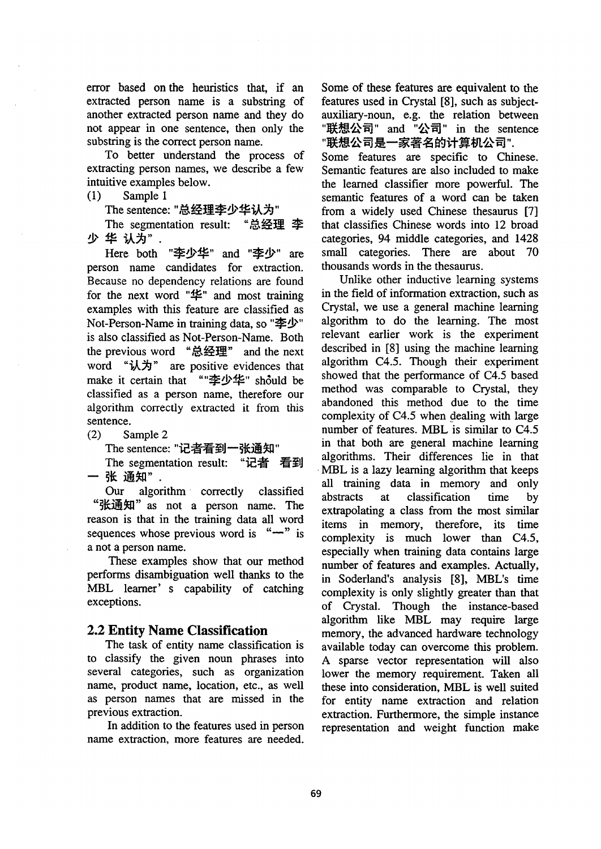error based on the heuristics that, if an extracted person name is a substring of another extracted person name and they do not appear in one sentence, then only the substring is the correct person name.

To better understand the process of extracting person names, we describe a few intuitive examples below.

(1) Sample 1

The sentence: "总经理李少华认为"

The segmentation result: "总经理 李 少华认为".

Here both "李少华" and "李少" are person name candidates for extraction. Because no dependency relations are found for the next word " $\mathfrak{L}$ " and most training examples with this feature are classified as Not-Person-Name in training data, so "李少" is also classified as Not-Person-Name. Both the previous word "总经理" and the next word "认为" are positive evidences that make it certain that ""李少华" should be classified as a person name, therefore our algorithm correctly extracted it from this sentence.

(2) Sample 2

The sentence: "记者看到一张通知"

The segmentation result: "记者 看到 一 张 通知".

Our algorithm correctly classified "张通知" as not a person name. The reason is that in the training data all word sequences whose previous word is  $" -"$  is a not a person name.

These examples show that our method performs disambiguation well thanks to the MBL learner's capability of catching exceptions.

# **2.2 Entity Name Classification**

The task of entity name classification is to classify the given noun phrases into several categories, such as organization name, product name, location, etc., as well as person names that are missed in the previous extraction.

In addition to the features used in person name extraction, more features are needed.

Some of these features are equivalent to the features used in Crystal [8], such as subjectauxiliary-noun, e.g. the relation between "联想公司" and "公司" in the sentence "联想公司是一家著名的计算机公司".

Some features are specific to Chinese. Semantic features are also included to make the learned classifier more powerful. The semantic features of a word can be taken from a widely used Chinese thesaurus [7] that classifies Chinese words into 12 broad categories, 94 middle categories, and 1428 small categories. There are about 70 thousands words in the thesaurus.

Unlike other inductive learning systems in the field of information extraction, such as Crystal, we use a general machine learning algorithm to do the learning. The most relevant earlier work is the experiment described in [8] using the machine learning algorithm C4.5. Though their experiment showed that the performance of C4.5 based method was comparable to Crystal, they abandoned this method due to the time complexity of  $C4.5$  when dealing with large number of features. MBL is similar to C4.5 in that both are general machine learning algorithms. Their differences lie in that MBL is a lazy learning algorithm that keeps all training data in memory and only abstracts at classification time by extrapolating a class from the most similar items in memory, therefore, its time complexity is much lower than C4.5, especially when training data contains large number of features and examples. Actually, in Soderland's analysis [8], MBL's time complexity is only slightly greater than that of Crystal. Though the instance-based algorithm like MBL may require large memory, the advanced hardware technology available today can overcome this problem. A sparse vector representation will also lower the memory requirement. Taken all these into consideration, MBL is well suited for entity name extraction and relation extraction. Furthermore, the simple instance representation and weight function make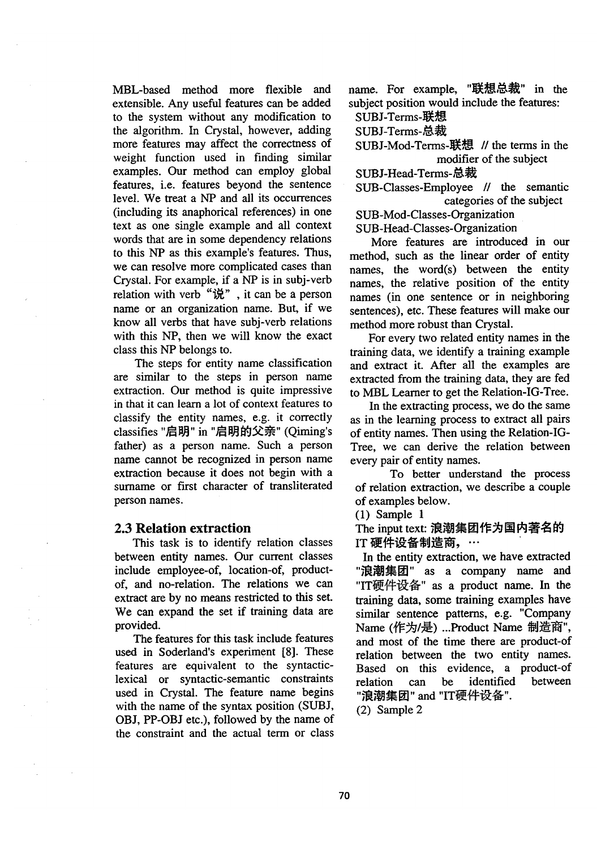MBL-based method more flexible and extensible. Any useful features can be added to the system without any modification to the algorithm. In Crystal, however, adding more features may affect the correctness of weight function used in finding similar examples. Our method can employ global features, i.e. features beyond the sentence level. We treat a NP and all its occurrences (including its anaphofical references) in one text as one single example and all context words that are in some dependency relations to this NP as this example's features. Thus, we can resolve more complicated cases than Crystal. For example, if a NP is in subj-verb relation with verb "说", it can be a person name or an organization name. But, if we know all verbs that have subj-verb relations with this NP, then we will know the exact class this NP belongs to.

The steps for entity name classification are similar to the steps in person name extraction. Our method is quite impressive in that it can learn a lot of context features to classify the entity names, e.g. it correctly classifies "启明" in "启明的父亲" (Qiming's father) as a person name. Such a person name cannot be recognized in person name extraction because it does not begin with a surname or first character of transliterated person names.

### **2.3 Relation extraction**

This task is to identify relation classes between entity names. Our current classes include employee-of, location-of, productof, and no-relation. The relations we can extract are by no means restricted to this set. We can expand the set if training data are provided.

The features for this task include features used in Soderland's experiment [8]. These features are equivalent to the syntacticlexical or syntactic-semantic constraints used in Crystal. The feature name begins with the name of the syntax position (SUBJ, OBJ, PP-OBJ etc.), followed by the name of the constraint and the actual term or class name. For example, "联想总裁" in the subject position would include the features: SUBJ-Terms-联想

- SUBJ-Terms-总裁
- 
- SUBJ-Mod-Terms-联想 // the terms in the modifier of the subject
- SUBJ-Head-Terms-总裁
- SUB-Classes-Employee // the semantic categories of the subject

SUB-Mod-Classes-Organization

SUB-Head-Classes-Organization

More features are introduced in our method, such as the linear order of entity names, the word(s) between the entity names, the relative position of the entity names (in one sentence or in neighboring sentences), etc. These features will make our method more robust than Crystal.

For every two related entity names in the training data, we identify a training example and extract it. After all the examples are extracted from the training data, they are fed to MBL Learner to get the Relation-IG-Tree.

In the extracting process, we do the same as in the learning process to extract all pairs of entity names. Then using the Relation-IG-Tree, we can derive the relation between every pair of entity names.

To better understand the process of relation extraction, we describe a couple of examples below.

(1) Sample 1

The input text: 浪潮集团作为国内著名的 IT 硬件设备制造商, …

In the entity extraction, we have extracted "浪潮集团" as a company name and "IT硬件设备" as a product name. In the training data, some training examples have similar sentence patterns, e.g. "Company Name (作为/是) ...Product Name 制造商", and most of the time there are product-of relation between the two entity names. Based on this evidence, a product-of relation can be identified between "浪潮集团" and "IT硬件设备".

(2) Sample 2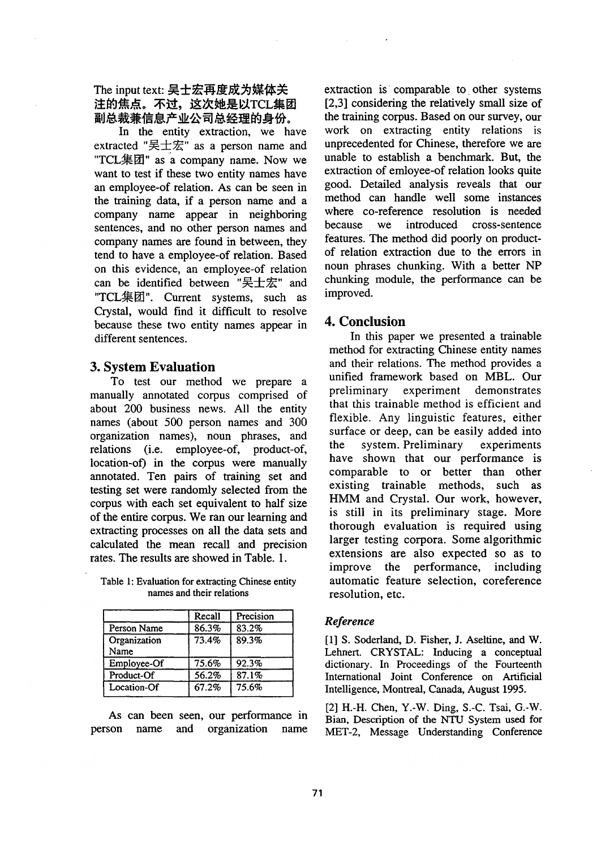The input text: 吴士宏再度成为媒体关 注的焦点。不过,这次她是以TCL集团<br>副总裁兼信息产业公司总经理的身份。

In the entity extraction, we have extracted "吴士宏" as a person name and "TCL集团" as a company name. Now we want to test if these two entity names have an employee-of relation. As can be seen in the training data, if a person name and a company name appear in neighboring sentences, and no other person names and company names are found in between, they tend to have a employee-of relation. Based on this evidence, an employee-of relation can be identified between "吴士宏" and "TCL集团". Current systems, such as Crystal, would find it difficult to resolve because these two entity names appear in different sentences.

## **3. System Evaluation**

To test our method we prepare a manually annotated corpus comprised of about 200 business news. All the entity names (about 500 person names and 300 organization names), noun phrases, and relations (i.e. employee-of, product-of, location-of) in the corpus were manually annotated. Ten pairs of training set and testing set were randomly selected from the corpus with each set equivalent to half size of the entire corpus. We ran our learning and extracting processes on all the data sets and calculated the mean recall and precision rates. The results are showed in Table. 1.

|                      | Recall | Precision |
|----------------------|--------|-----------|
| Person Name          | 86.3%  | 83.2%     |
| Organization<br>Name | 73.4%  | 89.3%     |
| $Emplovec-Of$        | 75.6%  | 92.3%     |
| Product-Of           | 56.2%  | 87.1%     |
| Location-Of          | 67.2%  | 75.6%     |
|                      |        |           |

Table 1: Evaluation for extracting Chinese entity names and their relations

As can been seen, our performance in person name and organization name extraction is comparable to other systems [2,3] considering the relatively small size of the training corpus. Based on our survey, our work on extracting entity relations is unprecedented for Chinese, therefore we are unable to establish a benchmark. But, the extraction of emloyee-of relation looks quite good. Detailed analysis reveals that our method can handle well some instances where co-reference resolution is needed because we introduced cross-sentence features. The method did poorly on productof relation extraction due to the errors in noun phrases chunking. With a better NP chunking module, the performance can be improved.

### **4. Conclusion**

In this paper we presented a trainable method for extracting Chinese entity names and their relations. The method provides a unified framework based on MBL. Our preliminary experiment demonstrates that this trainable method is efficient and flexible. Any linguistic features, either surface or deep, can be easily added into the system. Preliminary experiments have shown that our performance is comparable to or better than other existing trainable methods, such as HMM and Crystal. Our work, however, is still in its preliminary stage. More thorough evaluation is required using larger testing corpora. Some algorithmic extensions are also expected so as to improve the performance, including automatic feature selection, coreference resolution, etc.

### *Reference*

[1] S. Soderland, D. Fisher, J. Aseltine, and W. Lehnert. CRYSTAL: Inducing a conceptual dictionary. In Proceedings of the Fourteenth International Joint Conference on Artificial Intelligence, Montreal, Canada, August 1995.

[2] H.-H. Chen, Y.-W. Ding, S.-C. Tsai, G.-W. Bian, Description of the NTU System used for MET-2, Message Understanding Conference